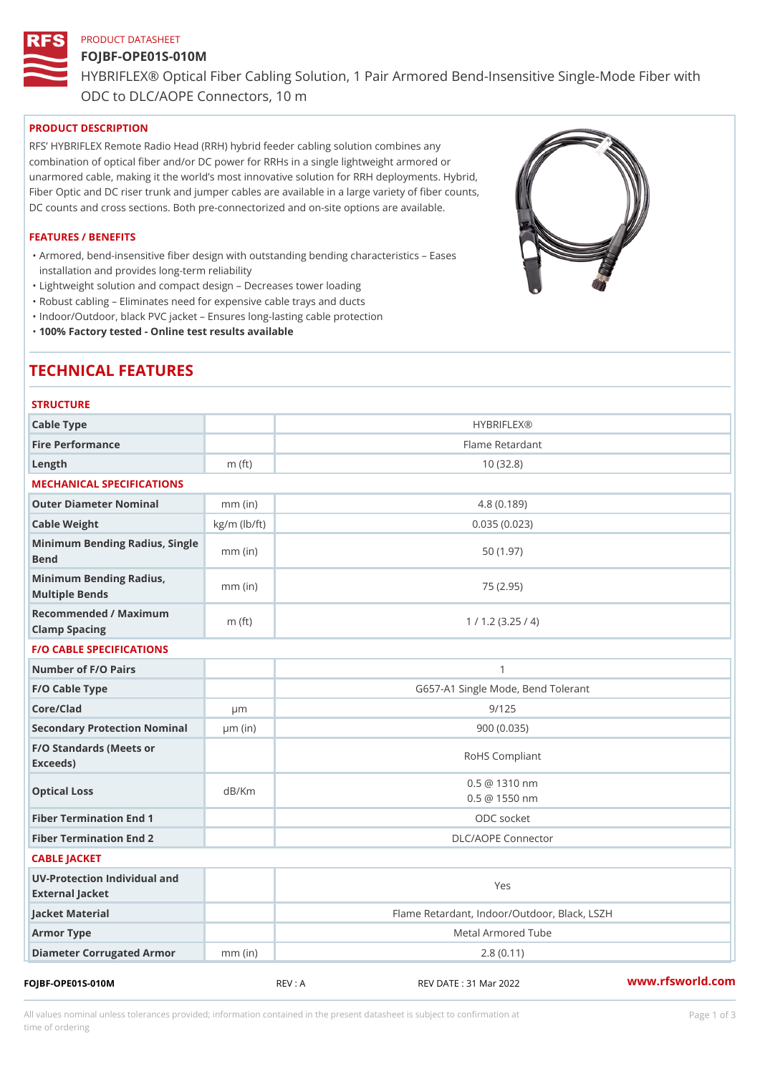# PRODUCT DATASHEET FOJBF-OPE01S-010M HYBRIFLEX® Optical Fiber Cabling Solution, 1 Pair Armored Bend-Inse ODC to DLC/AOPE Connectors, 10 m

## PRODUCT DESCRIPTION

RFS HYBRIFLEX Remote Radio Head (RRH) hybrid feeder cabling solution combines any combination of optical fiber and/or DC power for RRHs in a single lightweight armored or unarmored cable, making it the world s most innovative solution for RRH deployments. Hybrid, Fiber Optic and DC riser trunk and jumper cables are available in a large variety of fiber counts, DC counts and cross sections. Both pre-connectorized and on-site options are available.

#### FEATURES / BENEFITS

Armored, bend-insensitive fiber design with outstanding bending characteristics Eases " installation and provides long-term reliability

"Lightweight solution and compact design Decreases tower loading

"Robust cabling Eliminates need for expensive cable trays and ducts

"Indoor/Outdoor, black PVC jacket Ensures long-lasting cable protection

"100% Factory tested - Online test results available

# TECHNICAL FEATURES

| <b>STRUCTURE</b>                                   |                    |                                                |
|----------------------------------------------------|--------------------|------------------------------------------------|
| Cable Type                                         |                    | <b>HYBRIFLEX®</b>                              |
| Fire Performance                                   |                    | Flame Retardant                                |
| $L$ ength                                          | $m$ (ft)           | 10(32.8)                                       |
| MECHANICAL SPECIFICATIONS                          |                    |                                                |
| Outer Diameter Nominal                             | $mm$ (in)          | 4.8(0.189)                                     |
| Cable Weight                                       | $kg/m$ ( $lb/ft$ ) | 0.035(0.023)                                   |
| Minimum Bending Radius, Single<br>nmm (in)<br>Bend |                    | 50(1.97)                                       |
| Minimum Bending Radius, mm (in)<br>Multiple Bends  |                    | 75 (2.95)                                      |
| Recommended / Maximum<br>Clamp Spacing             | $m$ (ft)           | 1 / 1.2 (3.25 / 4)                             |
| <b>F/O CABLE SPECIFICATIONS</b>                    |                    |                                                |
| Number of F/O Pairs                                |                    | $\mathbf{1}$                                   |
| F/O Cable Type                                     |                    | G657-A1 Single Mode, Bend Tolerant             |
| Core/Clad                                          | $\mu$ m            | 9/125                                          |
| Secondary Protection Nomimal(in)                   |                    | 900(0.035)                                     |
| F/O Standards (Meets or<br>Exceeds)                |                    | RoHS Compliant                                 |
| Optical Loss                                       | dB/Km              | $0.5 \ @ \ 1310 \ nm$<br>$0.5 \ @ \ 1550 \ nm$ |
| Fiber Termination End                              |                    | ODC socket                                     |
| Fiber Termination End 2                            |                    | DLC/AOPE Connector                             |
| CABLE JACKET                                       |                    |                                                |
| UV-Protection Individual and<br>External Jacket    |                    | Yes                                            |
| Jacket Material                                    |                    | Flame Retardant, Indoor/Outdoor, Black, LSZH   |
| Armor Type                                         |                    | Metal Armored Tube                             |
| Diameter Corrugated Armomm (in)                    |                    | 2.8(0.11)                                      |
|                                                    |                    | $\sim$ $\sim$                                  |

FOJBF-OPE01S-010M REV : A REV DATE : 31 Mar 2022 [www.](https://www.rfsworld.com)rfsworld.com

All values nominal unless tolerances provided; information contained in the present datasheet is subject to Pcapgeign mation time of ordering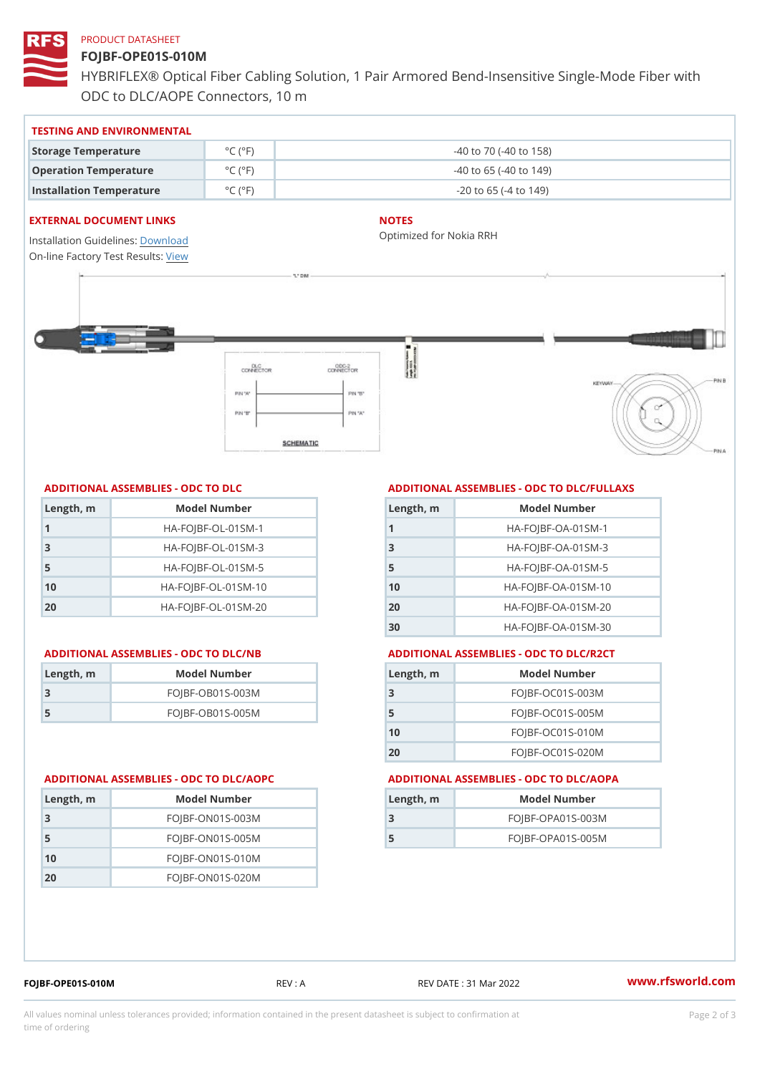# PRODUCT DATASHEET

# FOJBF-OPE01S-010M

HYBRIFLEX® Optical Fiber Cabling Solution, 1 Pair Armored Bend-Inse ODC to DLC/AOPE Connectors, 10 m

#### TESTING AND ENVIRONMENTAL

| Storage Temperature              | $^{\circ}$ C ( $^{\circ}$ F $\vert$ | $-40$ to $70$ ( $-40$ to $158$ ) |
|----------------------------------|-------------------------------------|----------------------------------|
| Operation Temperature            | $^{\circ}$ C ( $^{\circ}$ F)        | $-40$ to 65 ( $-40$ to 149)      |
| Installation Temperature °C (°F) |                                     | $-20$ to 65 ( $-4$ to 149)       |

#### EXTERNAL DOCUMENT LINKS

Installation Guidelwinessad On-line Factory Te[s](https://www.rfsworld.com/pictures/userfiles/programs/AAST Latest Version.zip)teResults:

## NOTES

Optimized for Nokia RRH

## ADDITIONAL ASSEMBLIES - ODC TO DLC

| Length, m | Model Number                   |
|-----------|--------------------------------|
|           | $HA - FOJBF - OL - 01SM - 1$   |
| -3        | $HA-FOJBF-OL-01SM-3$           |
| 5         | $HA - FOJBF - OL - 01SM - 5$   |
| 10        | $HA - FOJBF - O L - 01SM - 10$ |
| 20        | $HA-FOJBF-OL-01SM-20$          |

| ∥Length, r <mark>n</mark> | Model Number       |
|---------------------------|--------------------|
| - 3                       | $FOJBF-OBO1S-OO3M$ |
| -5                        | FOJBF-OB01S-005M   |

#### ADDITIONAL ASSEMBLIES - ODC TO DLC/FULLAXS

| Length, m | Model Number                  |
|-----------|-------------------------------|
|           | $HA - FOJBF - OA - 01SM - 1$  |
| -3        | $HA - FOJBF - OA - 01SM - B$  |
| 5         | $HA - FOJBF - OA - 01SM - 5$  |
| 10        | $HA - FOJBF - OA - 01SM - 10$ |
| 20        | $HA-FOJBF-OA-01SM-20$         |
| 30        | $HA-FOJBF-OA-01SM-30$         |

#### ADDITIONAL ASSEMBLIES - ODC TO DLC/NB ADDITIONAL ASSEMBLIES - ODC TO DLC/R2CT

| Length, m | Model Number       |
|-----------|--------------------|
| -3        | FOJBF-OC01S-003M   |
| 5         | FOJBF-OC01S-005M   |
| 10        | $FOJBF-OCO1S-010M$ |
| 20        | FOJBF-OC01S-020M   |

#### ADDITIONAL ASSEMBLIES - ODC TO DLC/AOPC ADDITIONAL ASSEMBLIES - ODC TO DLC/AOPA

| Length, m | Model Number       |
|-----------|--------------------|
| 3         | $FOJBF-ONO1S-003M$ |
| -5        | $FOJBF-ONO1S-005M$ |
| 10        | $FOJBF-ON01S-010M$ |
| 20        | $FOJBF-ONO1S-020M$ |

| Length, m | Model Number        |
|-----------|---------------------|
| -3        | $FOJBF-OPAO1S-003M$ |
| -5        | $FOJBF-OPAO1S-005M$ |

FOJBF-OPE01S-010M REV : A REV DATE : 31 Mar 2022 [www.](https://www.rfsworld.com)rfsworld.com

All values nominal unless tolerances provided; information contained in the present datasheet is subject to Pcapgelio an atio time of ordering